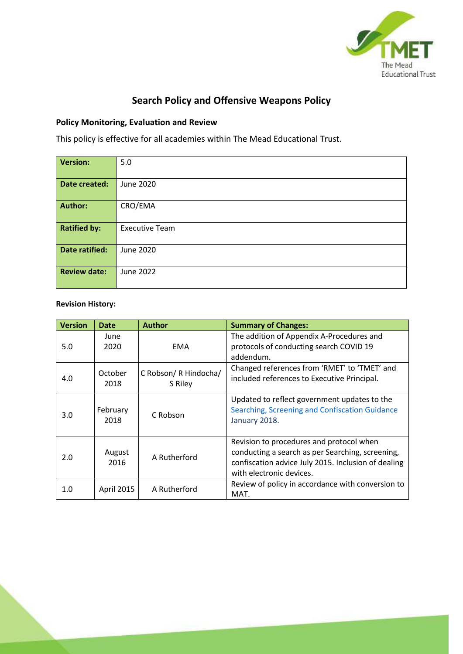

# **Search Policy and Offensive Weapons Policy**

# **Policy Monitoring, Evaluation and Review**

This policy is effective for all academies within The Mead Educational Trust.

| <b>Version:</b>       | 5.0                   |
|-----------------------|-----------------------|
|                       |                       |
| Date created:         | June 2020             |
|                       |                       |
|                       |                       |
| <b>Author:</b>        | CRO/EMA               |
|                       |                       |
|                       |                       |
| <b>Ratified by:</b>   | <b>Executive Team</b> |
|                       |                       |
|                       |                       |
| <b>Date ratified:</b> | June 2020             |
|                       |                       |
|                       |                       |
| <b>Review date:</b>   | June 2022             |
|                       |                       |
|                       |                       |
|                       |                       |

# **Revision History:**

| <b>Version</b> | <b>Date</b>      | <b>Author</b>                    | <b>Summary of Changes:</b>                                                                                                                                                      |
|----------------|------------------|----------------------------------|---------------------------------------------------------------------------------------------------------------------------------------------------------------------------------|
| 5.0            | June<br>2020     | <b>EMA</b>                       | The addition of Appendix A-Procedures and<br>protocols of conducting search COVID 19<br>addendum.                                                                               |
| 4.0            | October<br>2018  | C Robson/ R Hindocha/<br>S Riley | Changed references from 'RMET' to 'TMET' and<br>included references to Executive Principal.                                                                                     |
| 3.0            | February<br>2018 | C Robson                         | Updated to reflect government updates to the<br><b>Searching, Screening and Confiscation Guidance</b><br>January 2018.                                                          |
| 2.0            | August<br>2016   | A Rutherford                     | Revision to procedures and protocol when<br>conducting a search as per Searching, screening,<br>confiscation advice July 2015. Inclusion of dealing<br>with electronic devices. |
| 1.0            | April 2015       | A Rutherford                     | Review of policy in accordance with conversion to<br>MAT.                                                                                                                       |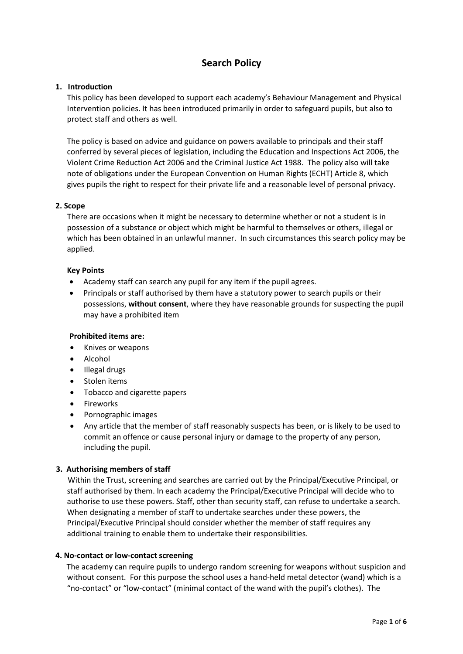# **Search Policy**

#### **1. Introduction**

This policy has been developed to support each academy's Behaviour Management and Physical Intervention policies. It has been introduced primarily in order to safeguard pupils, but also to protect staff and others as well.

The policy is based on advice and guidance on powers available to principals and their staff conferred by several pieces of legislation, including the Education and Inspections Act 2006, the Violent Crime Reduction Act 2006 and the Criminal Justice Act 1988. The policy also will take note of obligations under the European Convention on Human Rights (ECHT) Article 8, which gives pupils the right to respect for their private life and a reasonable level of personal privacy.

## **2. Scope**

There are occasions when it might be necessary to determine whether or not a student is in possession of a substance or object which might be harmful to themselves or others, illegal or which has been obtained in an unlawful manner. In such circumstances this search policy may be applied.

## **Key Points**

- Academy staff can search any pupil for any item if the pupil agrees.
- Principals or staff authorised by them have a statutory power to search pupils or their possessions, **without consent**, where they have reasonable grounds for suspecting the pupil may have a prohibited item

#### **Prohibited items are:**

- Knives or weapons
- Alcohol
- Illegal drugs
- Stolen items
- Tobacco and cigarette papers
- Fireworks
- Pornographic images
- Any article that the member of staff reasonably suspects has been, or is likely to be used to commit an offence or cause personal injury or damage to the property of any person, including the pupil.

# **3. Authorising members of staff**

Within the Trust, screening and searches are carried out by the Principal/Executive Principal, or staff authorised by them. In each academy the Principal/Executive Principal will decide who to authorise to use these powers. Staff, other than security staff, can refuse to undertake a search. When designating a member of staff to undertake searches under these powers, the Principal/Executive Principal should consider whether the member of staff requires any additional training to enable them to undertake their responsibilities.

#### **4. No-contact or low-contact screening**

The academy can require pupils to undergo random screening for weapons without suspicion and without consent. For this purpose the school uses a hand-held metal detector (wand) which is a "no-contact" or "low-contact" (minimal contact of the wand with the pupil's clothes). The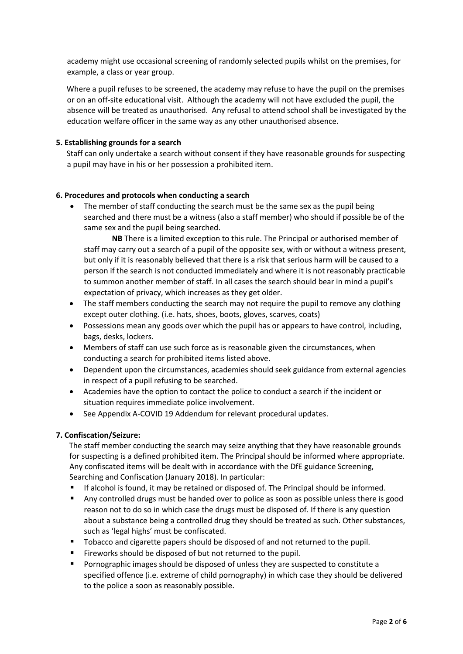academy might use occasional screening of randomly selected pupils whilst on the premises, for example, a class or year group.

Where a pupil refuses to be screened, the academy may refuse to have the pupil on the premises or on an off-site educational visit. Although the academy will not have excluded the pupil, the absence will be treated as unauthorised. Any refusal to attend school shall be investigated by the education welfare officer in the same way as any other unauthorised absence.

## **5. Establishing grounds for a search**

Staff can only undertake a search without consent if they have reasonable grounds for suspecting a pupil may have in his or her possession a prohibited item.

#### **6. Procedures and protocols when conducting a search**

• The member of staff conducting the search must be the same sex as the pupil being searched and there must be a witness (also a staff member) who should if possible be of the same sex and the pupil being searched.

**NB** There is a limited exception to this rule. The Principal or authorised member of staff may carry out a search of a pupil of the opposite sex, with or without a witness present, but only if it is reasonably believed that there is a risk that serious harm will be caused to a person if the search is not conducted immediately and where it is not reasonably practicable to summon another member of staff. In all cases the search should bear in mind a pupil's expectation of privacy, which increases as they get older.

- The staff members conducting the search may not require the pupil to remove any clothing except outer clothing. (i.e. hats, shoes, boots, gloves, scarves, coats)
- Possessions mean any goods over which the pupil has or appears to have control, including, bags, desks, lockers.
- Members of staff can use such force as is reasonable given the circumstances, when conducting a search for prohibited items listed above.
- Dependent upon the circumstances, academies should seek guidance from external agencies in respect of a pupil refusing to be searched.
- Academies have the option to contact the police to conduct a search if the incident or situation requires immediate police involvement.
- See Appendix A-COVID 19 Addendum for relevant procedural updates.

#### **7. Confiscation/Seizure:**

The staff member conducting the search may seize anything that they have reasonable grounds for suspecting is a defined prohibited item. The Principal should be informed where appropriate. Any confiscated items will be dealt with in accordance with the DfE guidance Screening, Searching and Confiscation (January 2018). In particular:

- If alcohol is found, it may be retained or disposed of. The Principal should be informed.
- Any controlled drugs must be handed over to police as soon as possible unless there is good reason not to do so in which case the drugs must be disposed of. If there is any question about a substance being a controlled drug they should be treated as such. Other substances, such as 'legal highs' must be confiscated.
- Tobacco and cigarette papers should be disposed of and not returned to the pupil.
- Fireworks should be disposed of but not returned to the pupil.
- **Pornographic images should be disposed of unless they are suspected to constitute a** specified offence (i.e. extreme of child pornography) in which case they should be delivered to the police a soon as reasonably possible.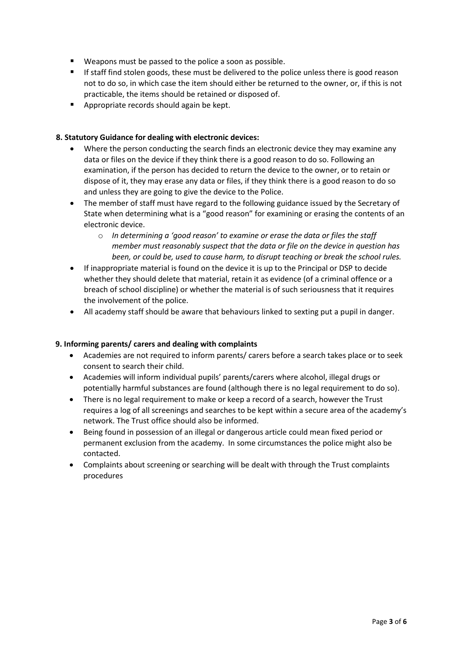- Weapons must be passed to the police a soon as possible.
- **If staff find stolen goods, these must be delivered to the police unless there is good reason** not to do so, in which case the item should either be returned to the owner, or, if this is not practicable, the items should be retained or disposed of.
- **Appropriate records should again be kept.**

# **8. Statutory Guidance for dealing with electronic devices:**

- Where the person conducting the search finds an electronic device they may examine any data or files on the device if they think there is a good reason to do so. Following an examination, if the person has decided to return the device to the owner, or to retain or dispose of it, they may erase any data or files, if they think there is a good reason to do so and unless they are going to give the device to the Police.
- The member of staff must have regard to the following guidance issued by the Secretary of State when determining what is a "good reason" for examining or erasing the contents of an electronic device.
	- o *In determining a 'good reason' to examine or erase the data or files the staff member must reasonably suspect that the data or file on the device in question has been, or could be, used to cause harm, to disrupt teaching or break the school rules.*
- If inappropriate material is found on the device it is up to the Principal or DSP to decide whether they should delete that material, retain it as evidence (of a criminal offence or a breach of school discipline) or whether the material is of such seriousness that it requires the involvement of the police.
- All academy staff should be aware that behaviours linked to sexting put a pupil in danger.

#### **9. Informing parents/ carers and dealing with complaints**

- Academies are not required to inform parents/ carers before a search takes place or to seek consent to search their child.
- Academies will inform individual pupils' parents/carers where alcohol, illegal drugs or potentially harmful substances are found (although there is no legal requirement to do so).
- There is no legal requirement to make or keep a record of a search, however the Trust requires a log of all screenings and searches to be kept within a secure area of the academy's network. The Trust office should also be informed.
- Being found in possession of an illegal or dangerous article could mean fixed period or permanent exclusion from the academy. In some circumstances the police might also be contacted.
- Complaints about screening or searching will be dealt with through the Trust complaints procedures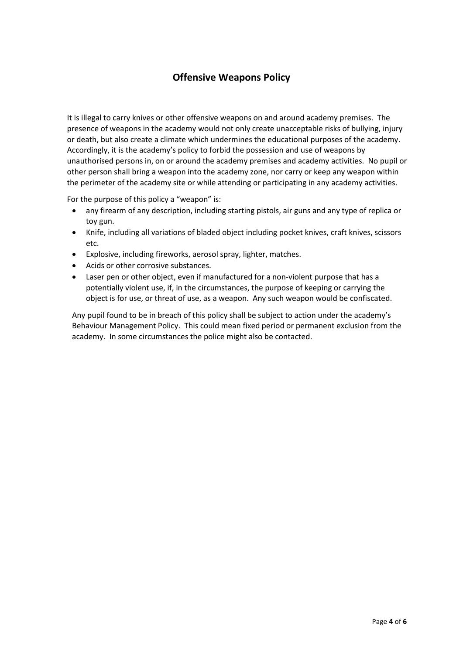# **Offensive Weapons Policy**

It is illegal to carry knives or other offensive weapons on and around academy premises. The presence of weapons in the academy would not only create unacceptable risks of bullying, injury or death, but also create a climate which undermines the educational purposes of the academy. Accordingly, it is the academy's policy to forbid the possession and use of weapons by unauthorised persons in, on or around the academy premises and academy activities. No pupil or other person shall bring a weapon into the academy zone, nor carry or keep any weapon within the perimeter of the academy site or while attending or participating in any academy activities.

For the purpose of this policy a "weapon" is:

- any firearm of any description, including starting pistols, air guns and any type of replica or toy gun.
- Knife, including all variations of bladed object including pocket knives, craft knives, scissors etc.
- Explosive, including fireworks, aerosol spray, lighter, matches.
- Acids or other corrosive substances.
- Laser pen or other object, even if manufactured for a non-violent purpose that has a potentially violent use, if, in the circumstances, the purpose of keeping or carrying the object is for use, or threat of use, as a weapon. Any such weapon would be confiscated.

Any pupil found to be in breach of this policy shall be subject to action under the academy's Behaviour Management Policy. This could mean fixed period or permanent exclusion from the academy. In some circumstances the police might also be contacted.